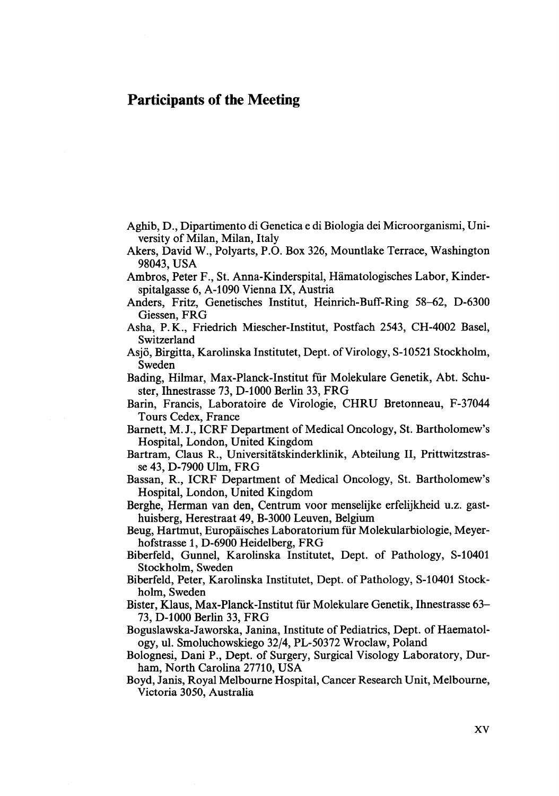## **Participants of the Meeting**

- Aghib, D., Dipartimento di Genetica e di Biologia dei Microorganismi, University of Milan, Milan, Italy
- Akers, David W., Polyarts, P.O. Box 326, Mountlake Terrace, Washington 98043, USA
- Ambros, Peter F., St. Anna-Kinderspital, Hämatologisches Labor, Kinderspitalgasse 6, A-1090 Vienna IX, Austria
- Anders, Fritz, Genetisches Institut, Heinrich-Buff-Ring 58-62, D-6300 Giessen, FRG
- Asha, P. K., Friedrich Miescher-Institut, Postfach 2543, CH-4002 Basel, Switzerland
- Asjö, Birgitta, Karolinska Institutet, Dept. of Virology, S-10521 Stockholm, Sweden
- Bading, Hilmar, Max-Planck-Institut für Molekulare Genetik, Abt. Schuster, Ihnestrasse 73, D-1000 Berlin 33, FRG
- Barin, Francis, Laboratoire de Virologie, CHRU Bretonneau, F-37044 Tours Cedex, France
- Barnett, M. J., ICRF Department of Medical Oncology, St. Bartholomew's Hospital, London, United Kingdom
- Bartram, Claus R., Universitätskinderklinik, Abteilung 11, Prittwitzstrasse 43, D-7900 Ulm, FRG
- Bassan, R., ICRF Department of Medical Oncology, St. Bartholomew's Hospital, London, United Kingdom
- Berghe, Herrnan van den, Centrum voor menselijke erfelijkheid U.Z. gasthuisberg, Herestraat 49, B-3000 Leuven, Belgium
- Beug, Hartmut, Europäisches Laboratorium für Molekularbiologie, Meyerhofstrasse 1, D-6900 Heidelberg, FRG
- Biberfeld, Gunnel, Karolinska Institutet, Dept. of Pathology, S-10401 Stockholm, Sweden
- Biberfeld, Peter, Karolinska Institutet, Dept. of Pathology, S-10401 Stockholm, Sweden
- Bister, Klaus, Max-Planck-Institut für Molekulare Genetik, Ihnestrasse 63- 73, D-1000 Berlin 33, FRG

Boguslawska-Jaworska, Janina, Institute of Pediatrics, Dept. of Haematology, ul. Smoluchowskiego 3214, PL-50372 Wroclaw, Poland

Bolognesi, Dani P., Dept. of Surgery, Surgical Visology Laboratory, Durham, North Carolina 27710, USA

Boyd, Janis, Royal Melbourne Hospital, Cancer Research Unit, Melbourne, **Victoria** 3050, Australia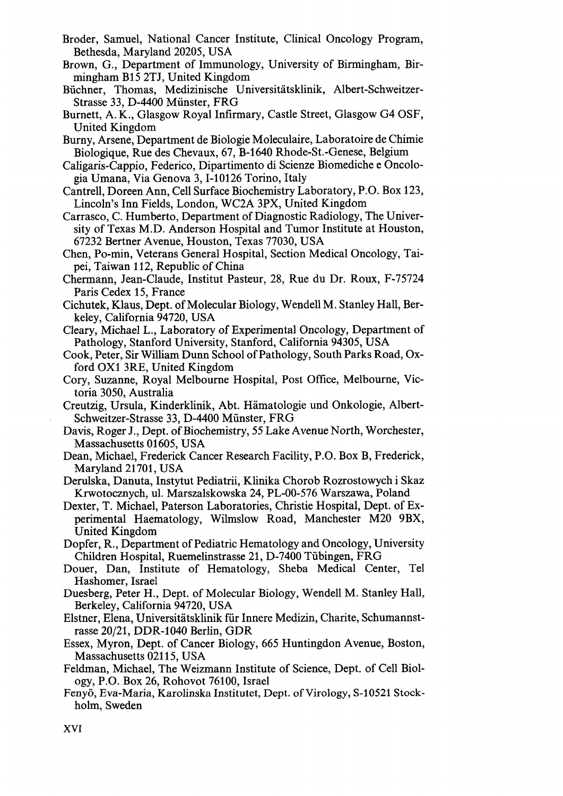- Broder, Samuel, National Cancer Institute, Clinical Oncology Program, Bethesda, Maryland 20205, USA
- Brown, G., Department of Immunology, University of Birmingham, Birmingham B15 2TJ, United Kingdom
- Büchner, Thomas, Medizinische Universitätsklinik, Albert-schweitzer-Strasse 33, D-4400 Münster, FRG
- Burnett, A. K., Glasgow Royal Infirmary, Castle Street, Glasgow G4 OSF, United Kingdom
- Burny, Arsene, Department de Biologie Moleculaire, Laboratoire de Chimie Biologique, Rue des Chevaux, 67, B-1640 Rhode-St.-Genese, Belgium
- Caligaris-Cappio, Federico, Dipartimento di Scienze Biomediche e Oncologia Umana, Via Genova 3,I-10126 Torino, Italy
- Cantrell, Doreen Ann, Ce11 Surface Biochemistry Laboratory, P.O. Box 123, Lincoln's Inn Fields, London, WC2A 3PX, United Kingdom
- Carrasco, C. Humberto, Department of Diagnostic Radiology, The University of Texas M.D. Anderson Hospital and Tumor Institute at Houston, 67232 Bertner Avenue, Houston, Texas 77030, USA
- Chen, Po-rnin, Veterans General Hospital, Section Medical Oncology, Taipei, Taiwan 1 12, Republic of China
- Chermann, Jean-Claude, Institut Pasteur, 28, Rue du Dr. Roux, F-75724 Paris Cedex 15, France
- Cichutek, Klaus, Dept. of Molecular Biology, Wendell M. Stanley Hall, Berkeley, California 94720, USA
- Cleary, Michael L., Laboratory of Experimental Oncology, Department of Pathology, Stanford University, Stanford, California 94305, USA
- Cook, Peter, Sir William Dunn School of Pathology, South Parks Road, Oxford 0x1 3RE, United Kingdom
- Cory, Suzanne, Royal Melbourne Hospital, Post Office, Melbourne, Victoria 3050, Australia
- Creutzig, Ursula, Kinderklinik, Abt. Hämatologie und Onkologie, Albert-Schweitzer-Strasse 33, D-4400 Münster, FRG
- Davis, Roger J., Dept. of Biochemistry, 55 Lake Avenue North, Worchester, Massachusetts 01605, USA
- Dean, Michael, Frederick Cancer Research Facility, P.O. Box B, Frederick, Maryland 21 701, USA
- Derulska, Danuta, Instytut Pediatrii, Klinika Chorob Rozrostowych i Skaz Krwotocznych, ul. Marszalskowska 24, PL-00-576 Warszawa, Poland
- Dexter, T. Michael, Paterson Laboratories, Christie Hospital, Dept. of Experimental Haematology, Wilmslow Road, Manchester M20 9BX, United Kingdom
- Dopfer, R., Department of Pediatric Hematology and Oncology, University Children Hospital, Ruemelinstrasse 21, D-7400 Tübingen, FRG
- Douer, Dan, Institute of Hematology, Sheba Medical Center, Te1 Hashomer, Israel
- Duesberg, Peter H., Dept. of Molecular Biology, Wendell M. Stanley Hall, Berkeley, California 94720, USA
- Elstner, Elena, Universitätsklinik für Innere Medizin, Charite, Schumannstrasse 20/21, DDR-1040 Berlin, GDR
- Essex, Myron, Dept. of Cancer Biology, 665 Huntingdon Avenue, Boston, Massachusetts 02115, USA
- Feldman, Michael, The Weizmann Institute of Science, Dept. of Ce11 Biology, P.O. Box 26, Rohovot 76100, Israel
- **Fenyö,** Eva-Maria, Karolinska Institutet, Dept. of Virology, S-10521 Stockholm, Sweden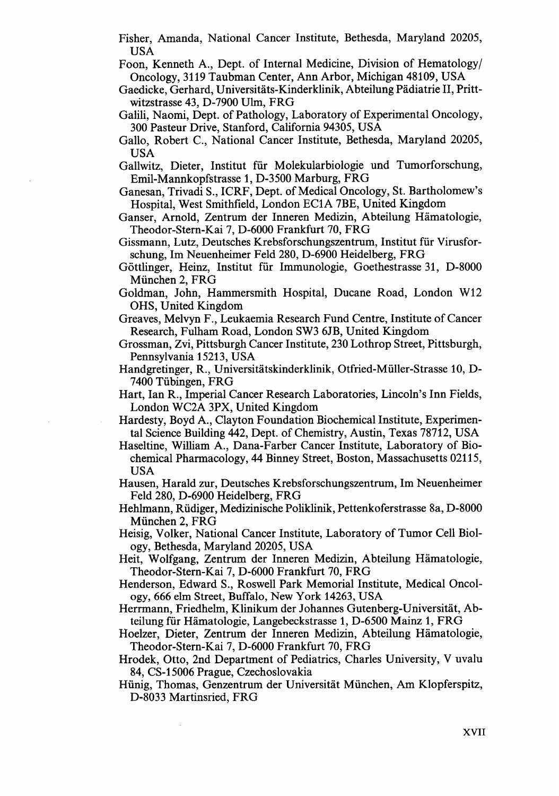Fisher, Amanda, National Cancer Institute, Bethesda, Maryland 20205, USA

Foon, Kenneth A., Dept. of Interna1 Medicine, Division of Hematology/ Oncology, 3119 Taubman Center, Ann Arbor, Michigan 48109, USA

Gaedicke, Gerhard, Universitäts-Kinderklinik, Abteilung Pädiatrie 11, Prittwitzstrasse 43, D-7900 Ulm, FRG

- Galili, Naomi, Dept. of Pathology, Laboratory of Experimental Oncology, 300 Pasteur Drive, Stanford, California 94305, USA
- Gallo, Robert C., National Cancer Institute, Bethesda, Maryland 20205, USA
- Gallwitz, Dieter, Institut für Molekularbiologie und Tumorforschung, Emil-Mannkopfstrasse 1, D-3500 Marburg, FRG
- Ganesan, Trivadi S., ICRF, Dept. of Medical Oncology, St. Bartholomew's Hospital, West Smithfield, London EClA 7BE, United Kingdom

Ganser, Arnold, Zentrum der Inneren Medizin, Abteilung Hämatologie, Theodor-Stern-Kai 7, D-6000 Frankfurt 70, FRG

Gissmann, Lutz, Deutsches Krebsforschungszentrum, Institut für Virusforschung, Im Neuenheimer Feld 280, D-6900 Heidelberg, FRG

- Göttlinger, Heinz, Institut für Immunologie, Goethestrasse 31, D-8000 München 2, FRG
- Goldman, John, Hammersmith Hospital, Ducane Road, London W12 OHS, United Kingdom
- Greaves, Melvyn F., Leukaemia Research Fund Centre, Institute of Cancer Research, Fulham Road, London SW3 6JB, United Kingdom
- Grossman, Zvi, Pittsburgh Cancer Institute, 230 Lothrop Street, Pittsburgh, Pennsylvania 15213, USA
- Handgretinger, R., Universitätskinderklinik, Otfried-Müller-Strasse 10, D-7400 Tübingen, FRG
- Hart, Ian R., Imperial Cancer Research Laboratories, Lincoln's Inn Fields, London WC2A 3PX, United Kingdom
- Hardesty, Boyd A., Clayton Foundation Biochemical Institute, Experimental Science Building 442, Dept. of Chemistry, Austin, Texas 78712, USA
- Haseltine, William A., Dana-Farber Cancer Institute, Laboratory of Biochemical Pharmacology, 44 Binney Street, Boston, Massachusetts 02115, USA
- Hausen, Harald zur, Deutsches Krebsforschungszentrum, Im Neuenheimer Feld 280, D-6900 Heidelberg, FRG
- Hehlmann, Rüdiger, Medizinische Poliklinik, Pettenkoferstrasse 8a, D-8000 München 2, FRG
- Heisig, Volker, National Cancer Institute, Laboratory of Tumor Ce11 Biology, Bethesda, Maryland 20205, USA
- Heit, Wolfgang, Zentrum der Inneren Medizin, Abteilung Hämatologie, Theodor-Stern-Kai 7, D-6000 Frankfurt 70, FRG
- Henderson, Edward S., Roswell Park Memorial Institute, Medical Oncology, 666 elm Street, Buffalo, New York 14263, USA
- Herrmann, Friedhelm, Klinikum der Johannes Gutenberg-Universität, Abteilung für Hämatologie, Langebeckstrasse 1, D-6500 Mainz 1, FRG
- Hoelzer, Dieter, Zentrum der Inneren Medizin, Abteilung Hämatologie, Theodor-Stern-Kai 7, D-6000 Frankfurt 70, FRG
- Hrodek, Otto, 2nd Department of Pediatrics, Charles University, V uvalu 84, CS-1 5006 Prague, Czechoslovakia

Hünig, Thomas, Genzentrum der Universität München, Am Klopferspitz, D-8033 Martinsried, FRG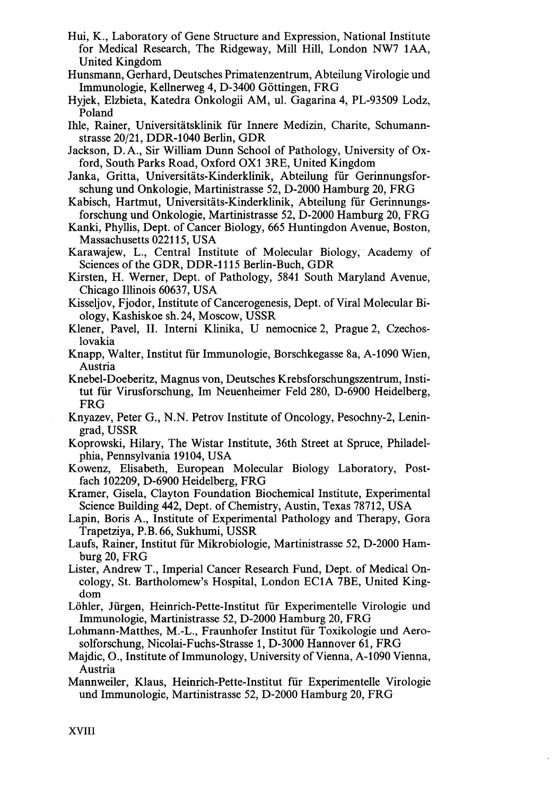- Hui, K., Laboratory of Gene Structure and Expression, National Institute for Medical Research, The Ridgeway, Mi11 Hill, London NW7 1AA, United Kingdom
- Hunsmann, Gerhard, Deutsches Primatenzentrum, Abteilung Virologie und Immunologie, Kellnerweg 4, D-3400 Göttingen, FRG
- Hyjek, Elzbieta, Katedra Onkologii AM, ul. Gagarina 4, PL-93509 Lodz, Poland
- Ihle, Rainer, Universitätsklinik für Innere Medizin, Charite, Schumannstrasse 20/21, DDR-1040 Berlin, GDR
- Jackson, D.A., Sir William Dunn School of Pathology, University of Oxford, South. Parks Road, Oxford 0x1 3RE, United Kingdom
- Janka, Gritta, Universitäts-Kinderklinik, Abteilung für Gerinnungsforschung und Onkologie, Martinistrasse 52, D-2000 Hamburg 20, FRG
- Kabisch, Hartmut, Universitäts-Kinderklinik, Abteilung für Gerinnungsforschung und Onkologie, Martinistrasse 52, D-2000 Hamburg 20, FRG
- Kanki, Phyllis, Dept. of Cancer Biology, 665 Huntingdon Avenue, Boston, Massachusetts 0221 15, USA
- Karawajew, L., Central Institute of Molecular Biology, Academy of Sciences of the GDR, DDR-1115 Berlin-Buch, GDR
- Kirsten, H. Werner, Dept. of Pathology, 5841 South Maryland Avenue, Chicago Illinois 60637, USA
- Kisseljov, Fjodor, Institute of Cancerogenesis, Dept. of Viral Molecular Biology, Kashiskoe sh. 24, Moscow, USSR
- Klener, Pavel, 11. Interni Klinika, U nemocnice 2, Prague 2, Czechoslovakia
- Knapp, Walter, Institut für Immunologie, Borschkegasse 8a, A-1090 Wien, Austria
- Knebel-Doeberitz, Magnus von, Deutsches Krebsforschungszentrum, Institut für Virusforschung, Im Neuenheimer Feld 280, D-6900 Heidelberg, FRG
- Knyazev, Peter G., N.N. Petrov Institute of Oncology, Pesochny-2, Leningrad, USSR
- Koprowski, Hilary, The Wistar Institute, 36th Street at Spruce, Philadelphia, Pennsylvania 19104, USA
- Kowenz, Elisabeth, European Molecular Biology Laboratory, Postfach 102209, D-6900 Heidelberg, FRG
- Kramer, Gisela, Clayton Foundation Biochemical Institute, Experimental Science Building 442, Dept. of Chemistry, Austin, Texas 78712, USA
- Lapin, Boris A., Institute of Experimental Pathology and Therapy, Gora Trapetziya, P.B. 66, Sukhumi, USSR
- Laufs, Rainer, Institut für Mikrobiologie, Martinistrasse 52, D-2000 Hamburg 20, FRG
- Lister, Andrew T., Imperial Cancer Research Fund, Dept. of Medical Oncology, St. Bartholomew's Hospital, London EC1A 7BE, United Kingdom
- Löhler, Jürgen, Heinrich-Pette-Institut für Experimentelle Virologie und Immunologie, Martinistrasse 52, D-2000 Hamburg 20, FRG
- Lohmann-Matthes, M.-L., Fraunhofer Institut für Toxikologie und Aerosolforschung, Nicolai-Fuchs-Strasse 1, D-3000 Hannover 61, FRG
- Majdic, O., Institute of Immunology, University of Vienna, A-1090 Vienna, Austria
- Mannweiler, Klaus, Heinrich-Pette-Institut für Experimentelle Virologie und Immunologie, Martinistrasse 52, D-2000 Hamburg 20, FRG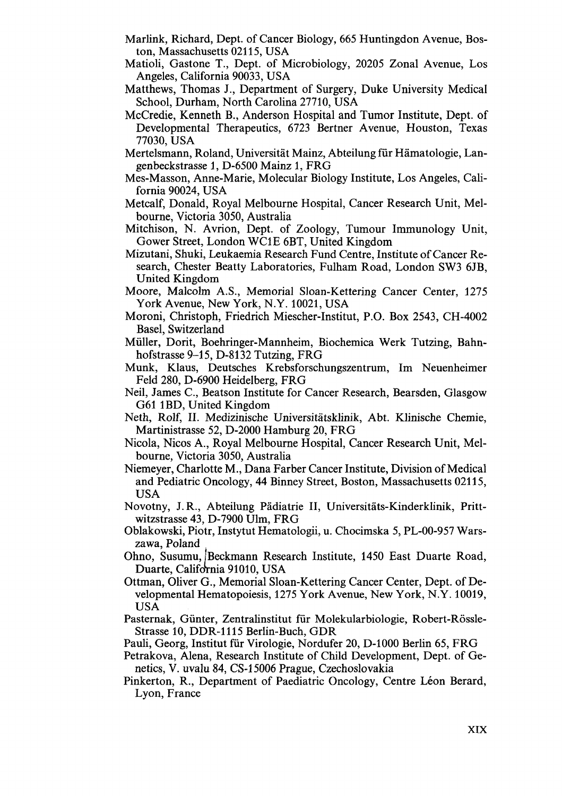- Marlink, Richard, Dept. of Cancer Biology, 665 Huntingdon Avenue, Boston, Massachusetts 02115, USA
- Matioli, Gastone T., Dept. of Microbiology, 20205 Zonal Avenue, Los Angeles, California 90033, USA
- Matthews, Thomas J., Department of Surgery, Duke University Medical School, Durham, North Carolina 27710, USA
- McCredie, Kenneth B., Anderson Hospital and Tumor Institute, Dept. of Developmental Therapeutics, 6723 Bertner Avenue, Houston, Texas 77030, USA
- Mertelsmann, Roland, Universität Mainz, Abteilung für Hämatologie, Langenbeckstrasse 1, D-6500 Mainz 1, FRG
- Mes-Masson, Anne-Marie, Molecular Biology Institute, Los Angeles, California 90024, USA
- Metcalf, Donald, Royal Melbourne Hospital, Cancer Research Unit, Melbourne, Victoria 3050, Australia
- Mitchison, N. Avrion, Dept. of Zoology, Tumour Immunology Unit, Gower Street, London WClE 6BT, United Kingdom
- Mizutani, Shuki, Leukaemia Research Fund Centre, Institute of Cancer Research, Chester Beatty Laboratories, Fulham Road, London SW3 6JB, United Kingdom
- Moore, Malcolm A.S., Memorial Sloan-Kettering Cancer Center, 1275 York Avenue, New York, N.Y. 10021, USA
- Moroni, Christoph, Friedrich Miescher-Institut, P.O. Box 2543, CH-4002 Basel, Switzerland
- Müller, Dorit, Boehringer-Mannheim, Biochemica Werk Tutzing, Bahnhofstrasse 9–15, D-8132 Tutzing, FRG
- Munk, Klaus, Deutsches Krebsforschungszentrum, Im Neuenheimer Feld 280, D-6900 Heidelberg, FRG
- Neil, James C., Beatson Institute for Cancer Research, Bearsden, Glasgow G61 lBD, United Kingdom
- Neth, Rolf, 11. Medizinische Universitätsklinik, Abt. Klinische Chemie, Martinistrasse 52, D-2000 Hamburg 20, FRG
- Nicola, Nicos A., Royal Melbourne Hospital, Cancer Research Unit, Melbourne, Victoria 3050, Australia
- Niemeyer, Charlotte M., Dana Farber Cancer Institute, Division of Medical and Pediatric Oncology, 44 Binney Street, Boston, Massachusetts 02115, USA
- Novotny, J. R., Abteilung Pädiatrie 11, Universitäts-Kinderklinik, Prittwitzstrasse 43, D-7900 Ulm, FRG
- Oblakowski, Piotr, Instytut Hematologii, U. Chocimska 5, PL-00-957 Warszawa, Poland
- Ohno, Susumu, Beckmann Research Institute, 1450 East Duarte Road, Duarte, California 91010, USA
- Ottman, Oliver G., Memorial Sloan-Kettering Cancer Center, Dept. of Developmental Hematopoiesis, 1275 York Avenue, New York, N.Y. 10019, USA
- Pasternak, Günter, Zentralinstitut für Molekularbiologie, Robert-Rössle-Strasse 10, DDR-1115 Berlin-Buch, GDR
- Pauli, Georg, Institut für Virologie, Nordufer 20, D-1000 Berlin 65, FRG
- Petrakova, Alena, Research Institute of Child Development, Dept. of Genetics, V. uvalu 84, CS-l 5006 Prague, Czechoslovakia
- Pinkerton, R., Department of Paediatric Oncology, Centre Léon Berard, Lyon, France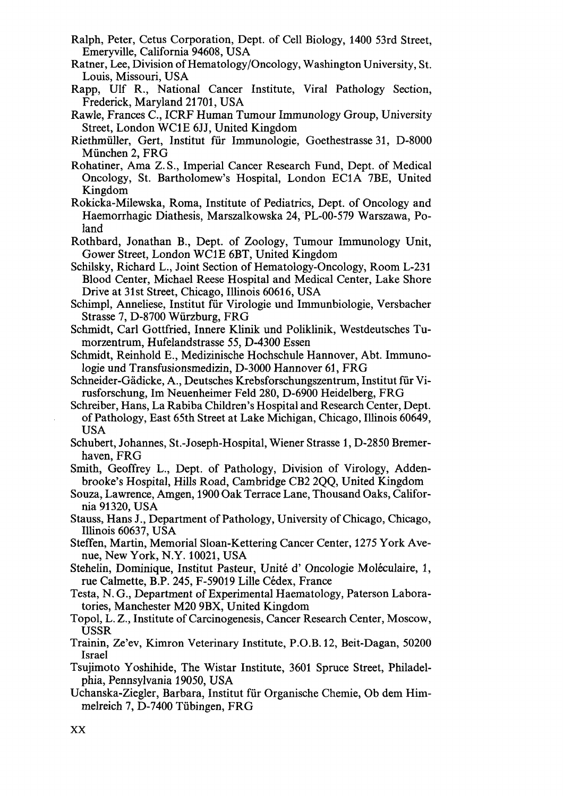- Ralph, Peter, Cetus Corporation, Dept. of Ce11 Biology, 1400 53rd Street, Emeryville, California 94608, USA
- Ratner, Lee, Division of Hematology/Oncology, Washington University, St. Louis, Missouri, USA
- Rapp, Ulf R., National Cancer Institute, Viral Pathology Section, Frederick, Maryland 21 701, USA
- Rawle, Frances C., ICRF Human Tumour Immunology Group, University Street, London WClE 6JJ, United Kingdom
- Riethmüller, Gert, Institut für Immunologie, Goethestrasse 31, D-8000 München 2, FRG
- Rohatiner, Ama Z. S., Imperial Cancer Research Fund, Dept. of Medical Oncology, St. Bartholomew's Hospital, London EClA 7BE, United Kingdom
- Rokicka-Milewska, Roma, Institute of Pediatrics, Dept. of Oncology and Haemorrhagic Diathesis, Marszalkowska 24, 'PL-00-579 Warszawa, Poland
- Rothbard, Jonathan B., Dept. of Zoology, Tumour Immunology Unit, Gower Street, London WClE 6BT, United Kingdom
- Schilsky, Richard L., Joint Section of Hematology-Oncology, Room L-231 Blood Center, Michael Reese Hospital and Medical Center, Lake Shore Drive at 31st Street, Chicago, Illinois 60616, USA
- Schimpl, Anneliese, Institut für Virologie und Immunbiologie, Versbacher Strasse 7, D-8700 Würzburg, FRG
- Schmidt, Carl Gottfried, Innere Klinik und Poliklinik, Westdeutsches Tumorzentrum, Hufelandstrasse 55, D-4300 Essen
- Schrnidt, Reinhold E., Medizinische Hochschule Hannover, Abt. Immunologie und Transfusionsmedizin, D-3000 Hannover 61, FRG
- Schneider-Gädicke, A., Deutsches Krebsforschungszentrum, Institut für Virusforschung, Im Neuenheimer Feld 280, D-6900 Heidelberg, FRG
- Schreiber, Hans, La Rabiba Children's Hospital and Research Center, Dept. of Pathology, East 65th Street at Lake Michigan, Chicago, Illinois 60649, USA
- Schubert, Johannes, St.-Joseph-Hospital, Wiener Strasse 1, D-2850 Bremerhaven, FRG
- Smith, Geoffrey L., Dept. of Pathology, Division of Virology, Addenbrooke's Hospital, Hills Road, Cambridge CB2 2QQ, United Kingdom
- Souza, Lawrence, Amgen, 1900 Oak Terrace Lane, Thousand Oaks, California 91 320, USA
- Stauss, Hans J., Department of Pathology, University of Chicago, Chicago, Illinois 60637, USA
- Steffen, Martin, Memorial Sloan-Kettering Cancer Center, 1275 York Avenue, New York, N.Y. 10021, USA
- Stehelin, Dominique, Institut Pasteur, Unité d' Oncologie Moléculaire, 1, rue Calmette, B.P. 245, F-59019 Lille Cédex, France
- Testa, N. G., Department of Experimental Haematology, Paterson Laboratories, Manchester M20 9BX, United Kingdom
- Topol, L. Z., Institute of Carcinogenesis, Cancer Research Center, Moscow, USSR
- Trainin, Ze'ev, Kimron Veterinary Institute, P.O.B. 12, Beit-Dagan, 50200 Israel
- Tsujimoto Yoshihide, The Wistar Institute, 3601 Spruce Street, Philadelphia, Pennsylvania 19050, USA
- Uchanska-Ziegler, Barbara, Institut für Organische Chemie, Ob dem Himmelreich 7, D-7400 Tübingen, FRG